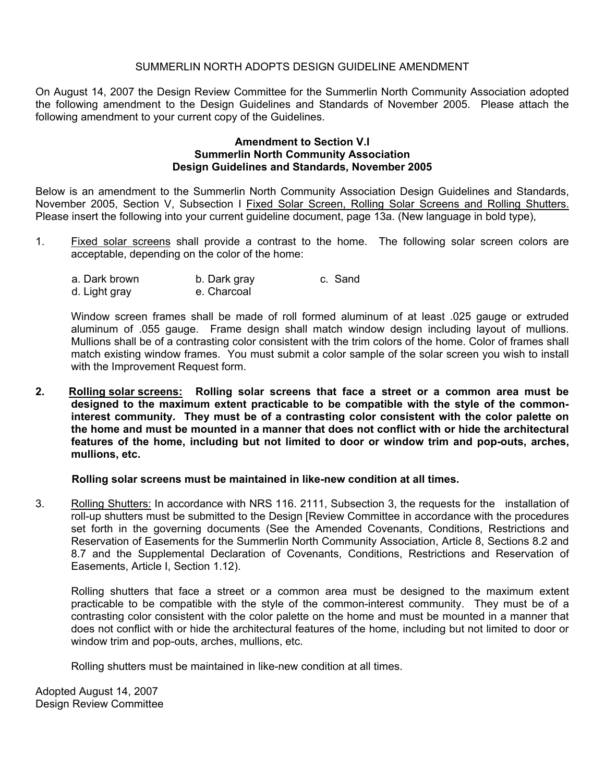### SUMMERLIN NORTH ADOPTS DESIGN GUIDELINE AMENDMENT

On August 14, 2007 the Design Review Committee for the Summerlin North Community Association adopted the following amendment to the Design Guidelines and Standards of November 2005. Please attach the following amendment to your current copy of the Guidelines.

#### **Amendment to Section V.I Summerlin North Community Association Design Guidelines and Standards, November 2005**

Below is an amendment to the Summerlin North Community Association Design Guidelines and Standards, November 2005, Section V, Subsection I Fixed Solar Screen, Rolling Solar Screens and Rolling Shutters. Please insert the following into your current guideline document, page 13a. (New language in bold type),

1. Fixed solar screens shall provide a contrast to the home. The following solar screen colors are acceptable, depending on the color of the home:

| a. Dark brown | b. Dark gray | c. Sand |
|---------------|--------------|---------|
| d. Light gray | e. Charcoal  |         |

Window screen frames shall be made of roll formed aluminum of at least .025 gauge or extruded aluminum of .055 gauge. Frame design shall match window design including layout of mullions. Mullions shall be of a contrasting color consistent with the trim colors of the home. Color of frames shall match existing window frames. You must submit a color sample of the solar screen you wish to install with the Improvement Request form.

**2. Rolling solar screens: Rolling solar screens that face a street or a common area must be designed to the maximum extent practicable to be compatible with the style of the commoninterest community. They must be of a contrasting color consistent with the color palette on the home and must be mounted in a manner that does not conflict with or hide the architectural features of the home, including but not limited to door or window trim and pop-outs, arches, mullions, etc.** 

#### **Rolling solar screens must be maintained in like-new condition at all times.**

3. Rolling Shutters: In accordance with NRS 116. 2111, Subsection 3, the requests for the installation of roll-up shutters must be submitted to the Design [Review Committee in accordance with the procedures set forth in the governing documents (See the Amended Covenants, Conditions, Restrictions and Reservation of Easements for the Summerlin North Community Association, Article 8, Sections 8.2 and 8.7 and the Supplemental Declaration of Covenants, Conditions, Restrictions and Reservation of Easements, Article I, Section 1.12).

Rolling shutters that face a street or a common area must be designed to the maximum extent practicable to be compatible with the style of the common-interest community. They must be of a contrasting color consistent with the color palette on the home and must be mounted in a manner that does not conflict with or hide the architectural features of the home, including but not limited to door or window trim and pop-outs, arches, mullions, etc.

Rolling shutters must be maintained in like-new condition at all times.

Adopted August 14, 2007 Design Review Committee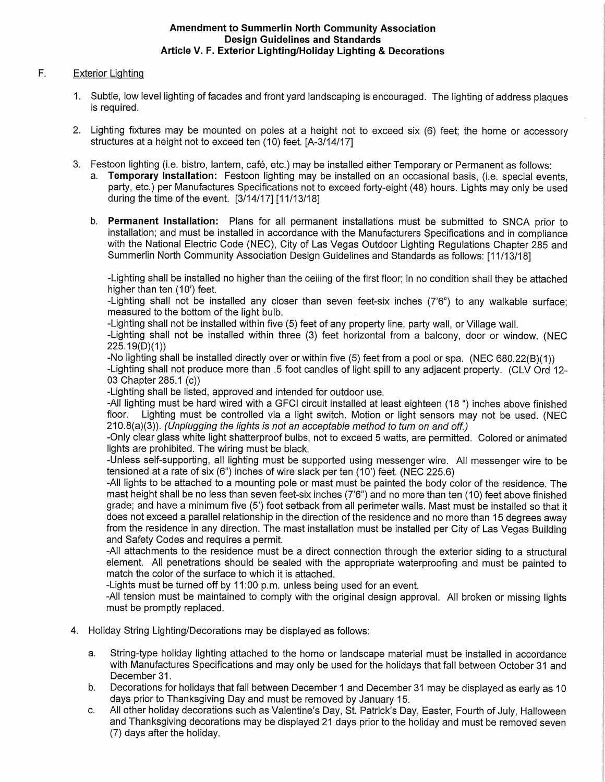#### **Amendment to Summerlin North Community Association Design Guidelines and Standards** Article V. F. Exterior Lighting/Holiday Lighting & Decorations

#### $F_{1}$ **Exterior Lighting**

- 1. Subtle, low level lighting of facades and front yard landscaping is encouraged. The lighting of address plagues is required.
- 2. Lighting fixtures may be mounted on poles at a height not to exceed six (6) feet; the home or accessory structures at a height not to exceed ten (10) feet. [A-3/14/17]
- 3. Festoon lighting (i.e. bistro, lantern, café, etc.) may be installed either Temporary or Permanent as follows:
	- a. Temporary Installation: Festoon lighting may be installed on an occasional basis, (i.e. special events. party, etc.) per Manufactures Specifications not to exceed forty-eight (48) hours. Lights may only be used during the time of the event. [3/14/17] [11/13/18]
	- b. Permanent Installation: Plans for all permanent installations must be submitted to SNCA prior to installation; and must be installed in accordance with the Manufacturers Specifications and in compliance with the National Electric Code (NEC), City of Las Vegas Outdoor Lighting Regulations Chapter 285 and Summerlin North Community Association Design Guidelines and Standards as follows: [11/13/18]

-Lighting shall be installed no higher than the ceiling of the first floor; in no condition shall they be attached higher than ten (10') feet.

-Lighting shall not be installed any closer than seven feet-six inches (7'6") to any walkable surface; measured to the bottom of the light bulb.

-Lighting shall not be installed within five (5) feet of any property line, party wall, or Village wall.

-Lighting shall not be installed within three (3) feet horizontal from a balcony, door or window. (NEC  $225.19(D)(1)$ 

-No lighting shall be installed directly over or within five (5) feet from a pool or spa. (NEC 680.22(B)(1)) -Lighting shall not produce more than .5 foot candles of light spill to any adjacent property. (CLV Ord 12-03 Chapter 285.1 (c))

-Lighting shall be listed, approved and intended for outdoor use.

-All lighting must be hard wired with a GFCI circuit installed at least eighteen (18 ") inches above finished Lighting must be controlled via a light switch. Motion or light sensors may not be used. (NEC floor.  $(210.8(a)(3))$ . (Unplugging the lights is not an acceptable method to turn on and off.)

-Only clear glass white light shatterproof bulbs, not to exceed 5 watts, are permitted. Colored or animated lights are prohibited. The wiring must be black.

-Unless self-supporting, all lighting must be supported using messenger wire. All messenger wire to be tensioned at a rate of six  $(6)$  inches of wire slack per ten  $(10)$  feet. (NEC 225.6)

-All lights to be attached to a mounting pole or mast must be painted the body color of the residence. The mast height shall be no less than seven feet-six inches (7'6") and no more than ten (10) feet above finished grade; and have a minimum five (5') foot setback from all perimeter walls. Mast must be installed so that it does not exceed a parallel relationship in the direction of the residence and no more than 15 degrees away from the residence in any direction. The mast installation must be installed per City of Las Vegas Building and Safety Codes and requires a permit.

-All attachments to the residence must be a direct connection through the exterior siding to a structural element. All penetrations should be sealed with the appropriate waterproofing and must be painted to match the color of the surface to which it is attached.

-Lights must be turned off by 11:00 p.m. unless being used for an event.

-All tension must be maintained to comply with the original design approval. All broken or missing lights must be promptly replaced.

- 4. Holiday String Lighting/Decorations may be displayed as follows:
	- String-type holiday lighting attached to the home or landscape material must be installed in accordance a. with Manufactures Specifications and may only be used for the holidays that fall between October 31 and December 31.
	- Decorations for holidays that fall between December 1 and December 31 may be displayed as early as 10  $b.$ days prior to Thanksgiving Day and must be removed by January 15.
	- All other holiday decorations such as Valentine's Day, St. Patrick's Day, Easter, Fourth of July, Halloween C. and Thanksgiving decorations may be displayed 21 days prior to the holiday and must be removed seven (7) days after the holiday.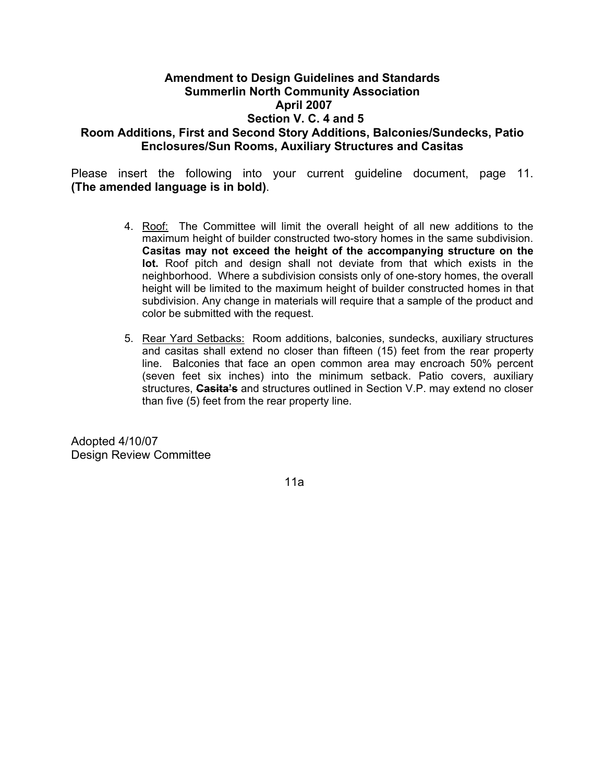# **Amendment to Design Guidelines and Standards Summerlin North Community Association April 2007 Section V. C. 4 and 5 Room Additions, First and Second Story Additions, Balconies/Sundecks, Patio Enclosures/Sun Rooms, Auxiliary Structures and Casitas**

Please insert the following into your current guideline document, page 11. **(The amended language is in bold)**.

- 4. Roof: The Committee will limit the overall height of all new additions to the maximum height of builder constructed two-story homes in the same subdivision. **Casitas may not exceed the height of the accompanying structure on the lot.** Roof pitch and design shall not deviate from that which exists in the neighborhood. Where a subdivision consists only of one-story homes, the overall height will be limited to the maximum height of builder constructed homes in that subdivision. Any change in materials will require that a sample of the product and color be submitted with the request.
- 5. Rear Yard Setbacks: Room additions, balconies, sundecks, auxiliary structures and casitas shall extend no closer than fifteen (15) feet from the rear property line. Balconies that face an open common area may encroach 50% percent (seven feet six inches) into the minimum setback. Patio covers, auxiliary structures, **Casita's** and structures outlined in Section V.P. may extend no closer than five (5) feet from the rear property line.

Adopted 4/10/07 Design Review Committee

11a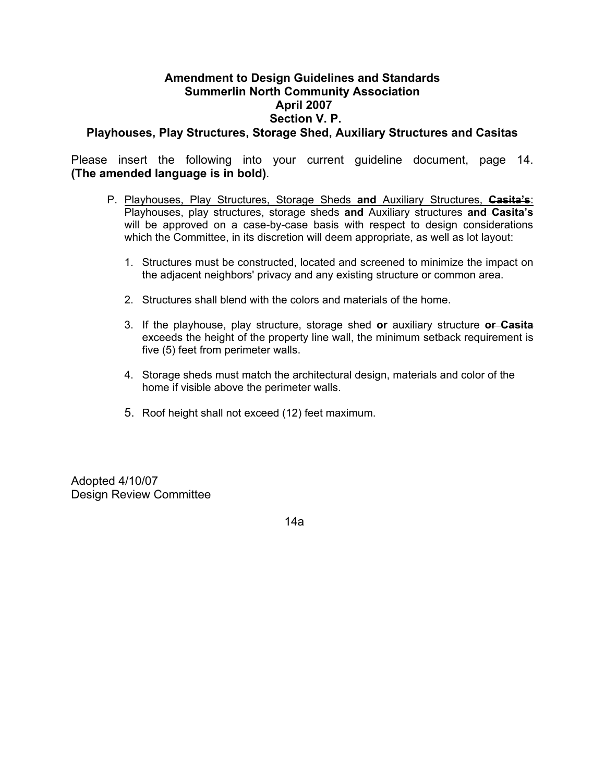## **Amendment to Design Guidelines and Standards Summerlin North Community Association April 2007 Section V. P. Playhouses, Play Structures, Storage Shed, Auxiliary Structures and Casitas**

Please insert the following into your current guideline document, page 14. **(The amended language is in bold)**.

- P. Playhouses, Play Structures, Storage Sheds **and** Auxiliary Structures, **Casita's**: Playhouses, play structures, storage sheds **and** Auxiliary structures **and Casita's** will be approved on a case-by-case basis with respect to design considerations which the Committee, in its discretion will deem appropriate, as well as lot layout:
	- 1. Structures must be constructed, located and screened to minimize the impact on the adjacent neighbors' privacy and any existing structure or common area.
	- 2. Structures shall blend with the colors and materials of the home.
	- 3. If the playhouse, play structure, storage shed **or** auxiliary structure **or Casita** exceeds the height of the property line wall, the minimum setback requirement is five (5) feet from perimeter walls.
	- 4. Storage sheds must match the architectural design, materials and color of the home if visible above the perimeter walls.
	- 5. Roof height shall not exceed (12) feet maximum.

Adopted 4/10/07 Design Review Committee

14a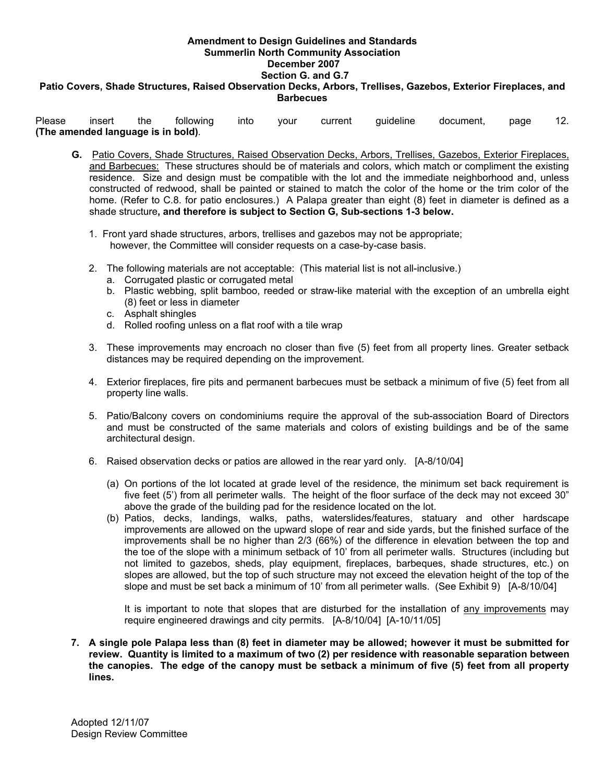# **Amendment to Design Guidelines and Standards Summerlin North Community Association December 2007 Section G. and G.7**

## **Patio Covers, Shade Structures, Raised Observation Decks, Arbors, Trellises, Gazebos, Exterior Fireplaces, and Barbecues**

Please insert the following into your current guideline document, page 12. **(The amended language is in bold)**.

- **G.** Patio Covers, Shade Structures, Raised Observation Decks, Arbors, Trellises, Gazebos, Exterior Fireplaces, and Barbecues: These structures should be of materials and colors, which match or compliment the existing residence. Size and design must be compatible with the lot and the immediate neighborhood and, unless constructed of redwood, shall be painted or stained to match the color of the home or the trim color of the home. (Refer to C.8. for patio enclosures.) A Palapa greater than eight (8) feet in diameter is defined as a shade structure**, and therefore is subject to Section G, Sub-sections 1-3 below.** 
	- 1. Front yard shade structures, arbors, trellises and gazebos may not be appropriate; however, the Committee will consider requests on a case-by-case basis.
	- 2. The following materials are not acceptable: (This material list is not all-inclusive.)
		- a. Corrugated plastic or corrugated metal
		- b. Plastic webbing, split bamboo, reeded or straw-like material with the exception of an umbrella eight (8) feet or less in diameter
		- c. Asphalt shingles
		- d. Rolled roofing unless on a flat roof with a tile wrap
	- 3. These improvements may encroach no closer than five (5) feet from all property lines. Greater setback distances may be required depending on the improvement.
	- 4. Exterior fireplaces, fire pits and permanent barbecues must be setback a minimum of five (5) feet from all property line walls.
	- 5. Patio/Balcony covers on condominiums require the approval of the sub-association Board of Directors and must be constructed of the same materials and colors of existing buildings and be of the same architectural design.
	- 6. Raised observation decks or patios are allowed in the rear yard only. [A-8/10/04]
		- (a) On portions of the lot located at grade level of the residence, the minimum set back requirement is five feet (5') from all perimeter walls. The height of the floor surface of the deck may not exceed 30" above the grade of the building pad for the residence located on the lot.
		- (b) Patios, decks, landings, walks, paths, waterslides/features, statuary and other hardscape improvements are allowed on the upward slope of rear and side yards, but the finished surface of the improvements shall be no higher than 2/3 (66%) of the difference in elevation between the top and the toe of the slope with a minimum setback of 10' from all perimeter walls. Structures (including but not limited to gazebos, sheds, play equipment, fireplaces, barbeques, shade structures, etc.) on slopes are allowed, but the top of such structure may not exceed the elevation height of the top of the slope and must be set back a minimum of 10' from all perimeter walls. (See Exhibit 9) [A-8/10/04]

It is important to note that slopes that are disturbed for the installation of any improvements may require engineered drawings and city permits. [A-8/10/04] [A-10/11/05]

**7. A single pole Palapa less than (8) feet in diameter may be allowed; however it must be submitted for review. Quantity is limited to a maximum of two (2) per residence with reasonable separation between the canopies. The edge of the canopy must be setback a minimum of five (5) feet from all property lines.**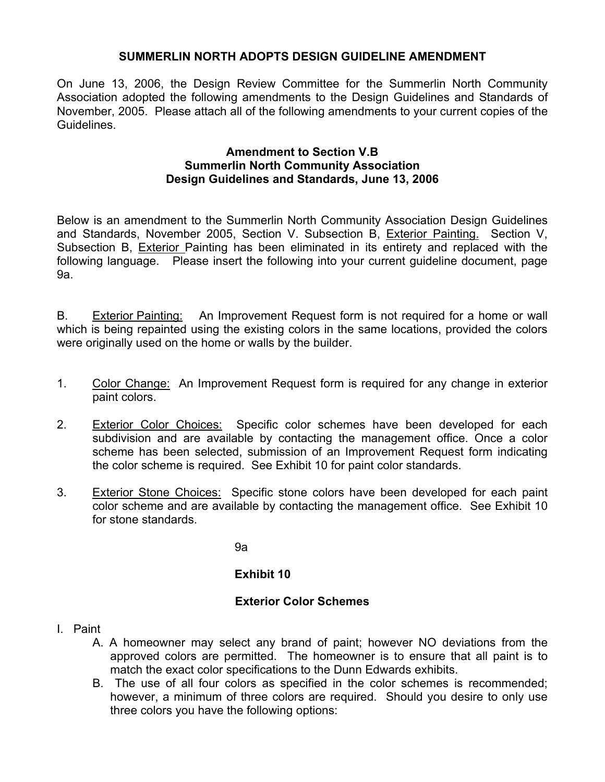# **SUMMERLIN NORTH ADOPTS DESIGN GUIDELINE AMENDMENT**

On June 13, 2006, the Design Review Committee for the Summerlin North Community Association adopted the following amendments to the Design Guidelines and Standards of November, 2005. Please attach all of the following amendments to your current copies of the Guidelines.

## **Amendment to Section V.B Summerlin North Community Association Design Guidelines and Standards, June 13, 2006**

Below is an amendment to the Summerlin North Community Association Design Guidelines and Standards, November 2005, Section V. Subsection B, Exterior Painting. Section V, Subsection B, Exterior Painting has been eliminated in its entirety and replaced with the following language. Please insert the following into your current guideline document, page 9a.

B. Exterior Painting: An Improvement Request form is not required for a home or wall which is being repainted using the existing colors in the same locations, provided the colors were originally used on the home or walls by the builder.

- 1. Color Change: An Improvement Request form is required for any change in exterior paint colors.
- 2. Exterior Color Choices: Specific color schemes have been developed for each subdivision and are available by contacting the management office. Once a color scheme has been selected, submission of an Improvement Request form indicating the color scheme is required. See Exhibit 10 for paint color standards.
- 3. Exterior Stone Choices: Specific stone colors have been developed for each paint color scheme and are available by contacting the management office. See Exhibit 10 for stone standards.

9a

# **Exhibit 10**

# **Exterior Color Schemes**

- I. Paint
	- A. A homeowner may select any brand of paint; however NO deviations from the approved colors are permitted. The homeowner is to ensure that all paint is to match the exact color specifications to the Dunn Edwards exhibits.
	- B. The use of all four colors as specified in the color schemes is recommended; however, a minimum of three colors are required. Should you desire to only use three colors you have the following options: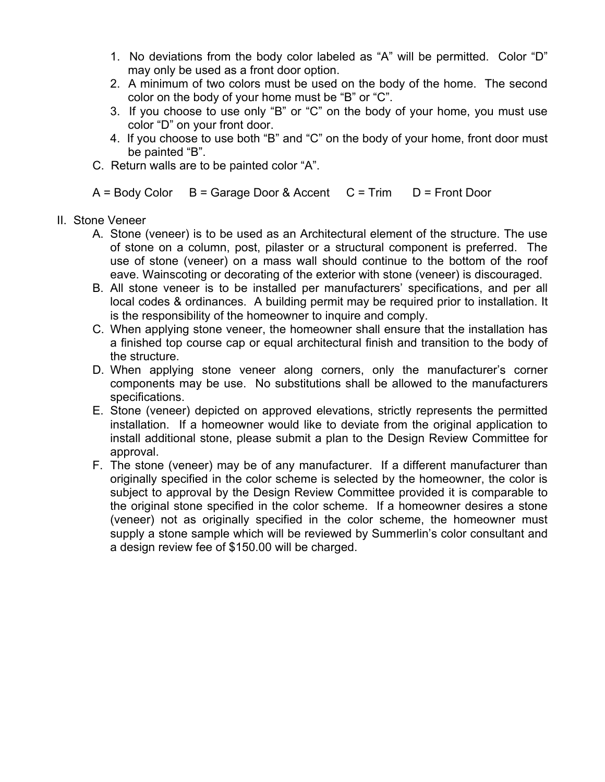- 1. No deviations from the body color labeled as "A" will be permitted. Color "D" may only be used as a front door option.
- 2. A minimum of two colors must be used on the body of the home. The second color on the body of your home must be "B" or "C".
- 3. If you choose to use only "B" or "C" on the body of your home, you must use color "D" on your front door.
- 4. If you choose to use both "B" and "C" on the body of your home, front door must be painted "B".
- C. Return walls are to be painted color "A".

 $A = Body Color$  B = Garage Door & Accent  $C = Trim$  D = Front Door

- II. Stone Veneer
	- A. Stone (veneer) is to be used as an Architectural element of the structure. The use of stone on a column, post, pilaster or a structural component is preferred. The use of stone (veneer) on a mass wall should continue to the bottom of the roof eave. Wainscoting or decorating of the exterior with stone (veneer) is discouraged.
	- B. All stone veneer is to be installed per manufacturers' specifications, and per all local codes & ordinances. A building permit may be required prior to installation. It is the responsibility of the homeowner to inquire and comply.
	- C. When applying stone veneer, the homeowner shall ensure that the installation has a finished top course cap or equal architectural finish and transition to the body of the structure.
	- D. When applying stone veneer along corners, only the manufacturer's corner components may be use. No substitutions shall be allowed to the manufacturers specifications.
	- E. Stone (veneer) depicted on approved elevations, strictly represents the permitted installation. If a homeowner would like to deviate from the original application to install additional stone, please submit a plan to the Design Review Committee for approval.
	- F. The stone (veneer) may be of any manufacturer. If a different manufacturer than originally specified in the color scheme is selected by the homeowner, the color is subject to approval by the Design Review Committee provided it is comparable to the original stone specified in the color scheme. If a homeowner desires a stone (veneer) not as originally specified in the color scheme, the homeowner must supply a stone sample which will be reviewed by Summerlin's color consultant and a design review fee of \$150.00 will be charged.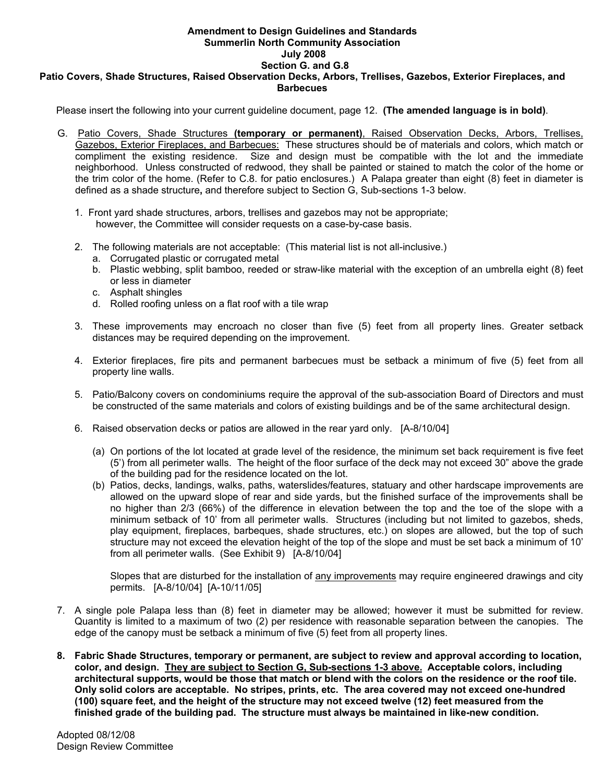#### **Amendment to Design Guidelines and Standards Summerlin North Community Association July 2008 Section G. and G.8 Patio Covers, Shade Structures, Raised Observation Decks, Arbors, Trellises, Gazebos, Exterior Fireplaces, and Barbecues**

Please insert the following into your current guideline document, page 12. **(The amended language is in bold)**.

- G. Patio Covers, Shade Structures **(temporary or permanent)**, Raised Observation Decks, Arbors, Trellises, Gazebos, Exterior Fireplaces, and Barbecues: These structures should be of materials and colors, which match or compliment the existing residence. Size and design must be compatible with the lot and the immediate neighborhood. Unless constructed of redwood, they shall be painted or stained to match the color of the home or the trim color of the home. (Refer to C.8. for patio enclosures.) A Palapa greater than eight (8) feet in diameter is defined as a shade structure**,** and therefore subject to Section G, Sub-sections 1-3 below.
	- 1. Front yard shade structures, arbors, trellises and gazebos may not be appropriate; however, the Committee will consider requests on a case-by-case basis.
	- 2. The following materials are not acceptable: (This material list is not all-inclusive.)
		- a. Corrugated plastic or corrugated metal
		- b. Plastic webbing, split bamboo, reeded or straw-like material with the exception of an umbrella eight (8) feet or less in diameter
		- c. Asphalt shingles
		- d. Rolled roofing unless on a flat roof with a tile wrap
	- 3. These improvements may encroach no closer than five (5) feet from all property lines. Greater setback distances may be required depending on the improvement.
	- 4. Exterior fireplaces, fire pits and permanent barbecues must be setback a minimum of five (5) feet from all property line walls.
	- 5. Patio/Balcony covers on condominiums require the approval of the sub-association Board of Directors and must be constructed of the same materials and colors of existing buildings and be of the same architectural design.
	- 6. Raised observation decks or patios are allowed in the rear yard only. [A-8/10/04]
		- (a) On portions of the lot located at grade level of the residence, the minimum set back requirement is five feet (5') from all perimeter walls. The height of the floor surface of the deck may not exceed 30" above the grade of the building pad for the residence located on the lot.
		- (b) Patios, decks, landings, walks, paths, waterslides/features, statuary and other hardscape improvements are allowed on the upward slope of rear and side yards, but the finished surface of the improvements shall be no higher than 2/3 (66%) of the difference in elevation between the top and the toe of the slope with a minimum setback of 10' from all perimeter walls. Structures (including but not limited to gazebos, sheds, play equipment, fireplaces, barbeques, shade structures, etc.) on slopes are allowed, but the top of such structure may not exceed the elevation height of the top of the slope and must be set back a minimum of 10' from all perimeter walls. (See Exhibit 9) [A-8/10/04]

Slopes that are disturbed for the installation of any improvements may require engineered drawings and city permits. [A-8/10/04] [A-10/11/05]

- 7. A single pole Palapa less than (8) feet in diameter may be allowed; however it must be submitted for review. Quantity is limited to a maximum of two (2) per residence with reasonable separation between the canopies. The edge of the canopy must be setback a minimum of five (5) feet from all property lines.
- **8. Fabric Shade Structures, temporary or permanent, are subject to review and approval according to location, color, and design. They are subject to Section G, Sub-sections 1-3 above. Acceptable colors, including architectural supports, would be those that match or blend with the colors on the residence or the roof tile. Only solid colors are acceptable. No stripes, prints, etc. The area covered may not exceed one-hundred (100) square feet, and the height of the structure may not exceed twelve (12) feet measured from the finished grade of the building pad. The structure must always be maintained in like-new condition.**